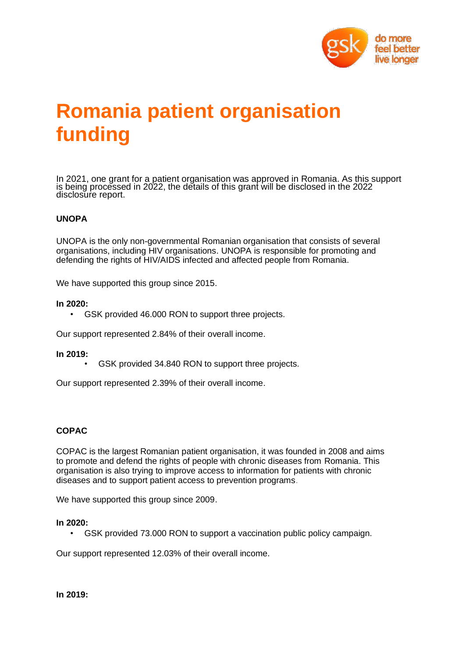

# **Romania patient organisation funding**

In 2021, one grant for a patient organisation was approved in Romania. As this support is being processed in 2022, the details of this grant will be disclosed in the 2022 disclosure report.

## **UNOPA**

UNOPA is the only non-governmental Romanian organisation that consists of several organisations, including HIV organisations. UNOPA is responsible for promoting and defending the rights of HIV/AIDS infected and affected people from Romania.

We have supported this group since 2015.

#### **In 2020:**

GSK provided 46.000 RON to support three projects.

Our support represented 2.84% of their overall income.

#### **In 2019:**

GSK provided 34.840 RON to support three projects.

Our support represented 2.39% of their overall income.

## **COPAC**

COPAC is the largest Romanian patient organisation, it was founded in 2008 and aims to promote and defend the rights of people with chronic diseases from Romania. This organisation is also trying to improve access to information for patients with chronic diseases and to support patient access to prevention programs.

We have supported this group since 2009.

#### **In 2020:**

• GSK provided 73.000 RON to support a vaccination public policy campaign.

Our support represented 12.03% of their overall income.

**In 2019:**